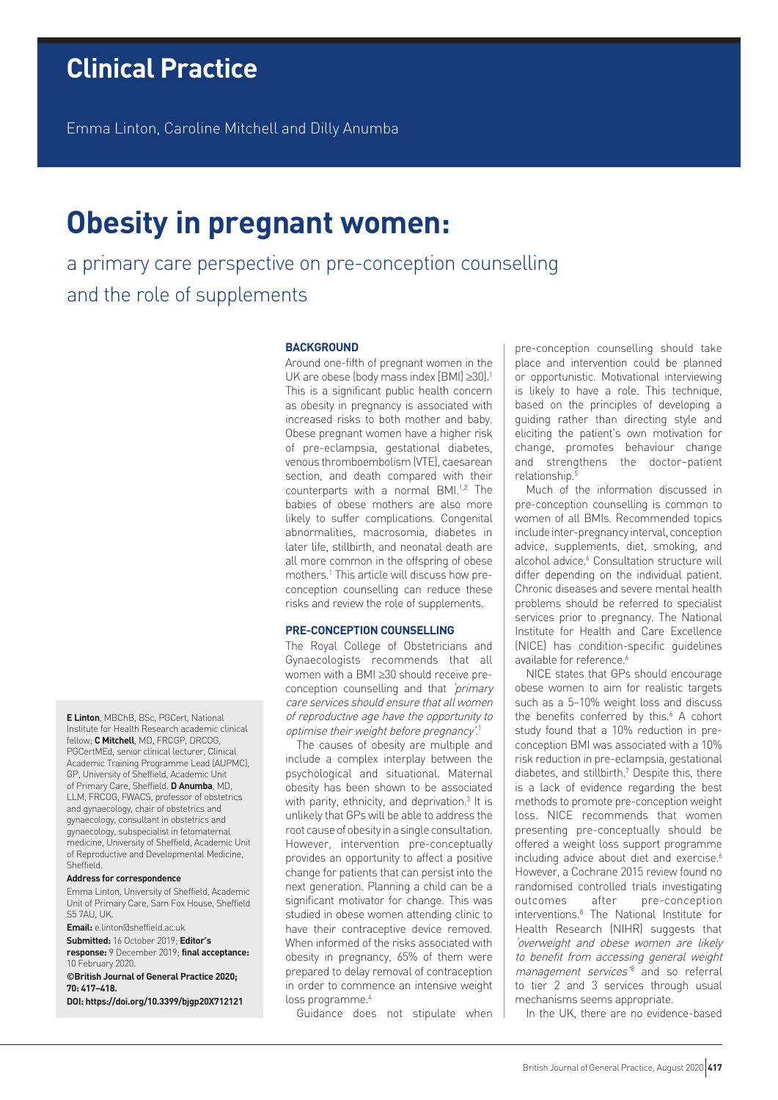# **Clinical Practice**

Emma Linton, Caroline Mitchell and Dilly Anumba

# **Obesity in pregnant women:**

a primary care perspective on pre-conception counselling and the role of supplements

# **BACKGROUND**

Around one-fifth of pregnant women in the UK are obese (body mass index [BMI] ≥30).1 This is a significant public health concern as obesity in pregnancy is associated with increased risks to both mother and baby. Obese pregnant women have a higher risk of pre-eclampsia, gestational diabetes, venous thromboembolism (VTE), caesarean section, and death compared with their counterparts with a normal BMI.<sup>1,2</sup> The babies of obese mothers are also more likely to suffer complications. Congenital abnormalities, macrosomia, diabetes in later life, stillbirth, and neonatal death are all more common in the offspring of obese mothers.1 This article will discuss how preconception counselling can reduce these risks and review the role of supplements.

## **PRE-CONCEPTION COUNSELLING**

The Royal College of Obstetricians and Gynaecologists recommends that all women with a BMI ≥30 should receive preconception counselling and that 'primary care services should ensure that all women of reproductive age have the opportunity to optimise their weight before pregnancy'. 1

The causes of obesity are multiple and include a complex interplay between the psychological and situational. Maternal obesity has been shown to be associated with parity, ethnicity, and deprivation.<sup>3</sup> It is unlikely that GPs will be able to address the root cause of obesity in a single consultation. However, intervention pre-conceptually provides an opportunity to affect a positive change for patients that can persist into the next generation. Planning a child can be a significant motivator for change. This was studied in obese women attending clinic to have their contraceptive device removed. When informed of the risks associated with obesity in pregnancy, 65% of them were prepared to delay removal of contraception in order to commence an intensive weight loss programme.<sup>4</sup>

Guidance does not stipulate when

pre-conception counselling should take place and intervention could be planned or opportunistic. Motivational interviewing is likely to have a role. This technique, based on the principles of developing a guiding rather than directing style and eliciting the patient's own motivation for change, promotes behaviour change and strengthens the doctor–patient relationship.5

Much of the information discussed in pre-conception counselling is common to women of all BMIs. Recommended topics include inter-pregnancy interval, conception advice, supplements, diet, smoking, and alcohol advice.<sup>6</sup> Consultation structure will differ depending on the individual patient. Chronic diseases and severe mental health problems should be referred to specialist services prior to pregnancy. The National Institute for Health and Care Excellence (NICE) has condition-specific guidelines available for reference.<sup>6</sup>

NICE states that GPs should encourage obese women to aim for realistic targets such as a 5–10% weight loss and discuss the benefits conferred by this.<sup>6</sup> A cohort study found that a 10% reduction in preconception BMI was associated with a 10% risk reduction in pre-eclampsia, gestational diabetes, and stillbirth.7 Despite this, there is a lack of evidence regarding the best methods to promote pre-conception weight loss. NICE recommends that women presenting pre-conceptually should be offered a weight loss support programme including advice about diet and exercise.<sup>6</sup> However, a Cochrane 2015 review found no randomised controlled trials investigating outcomes after pre-conception interventions.8 The National Institute for Health Research (NIHR) suggests that 'overweight and obese women are likely to benefit from accessing general weight management services<sup>'8</sup> and so referral to tier 2 and 3 services through usual mechanisms seems appropriate.

In the UK, there are no evidence-based

**E Linton**, MBChB, BSc, PGCert, National Institute for Health Research academic clinical fellow; **C Mitchell**, MD, FRCGP, DRCOG, PGCertMEd, senior clinical lecturer, Clinical Academic Training Programme Lead (AUPMC), GP, University of Sheffield, Academic Unit of Primary Care, Sheffield. **D Anumba**, MD, LLM, FRCOG, FWACS, professor of obstetrics and gynaecology, chair of obstetrics and gynaecology, consultant in obstetrics and gynaecology, subspecialist in fetomaternal medicine, University of Sheffield, Academic Unit of Reproductive and Developmental Medicine, Sheffield.

#### **Address for correspondence**

Emma Linton, University of Sheffield, Academic Unit of Primary Care, Sam Fox House, Sheffield S5 7AU, UK.

**Email:** e.linton@sheffield.ac.uk **Submitted:** 16 October 2019; **Editor's response:** 9 December 2019; **final acceptance:**  10 February 2020.

**©British Journal of General Practice 2020; 70: 417–418.**

**DOI: https://doi.org/10.3399/bjgp20X712121**